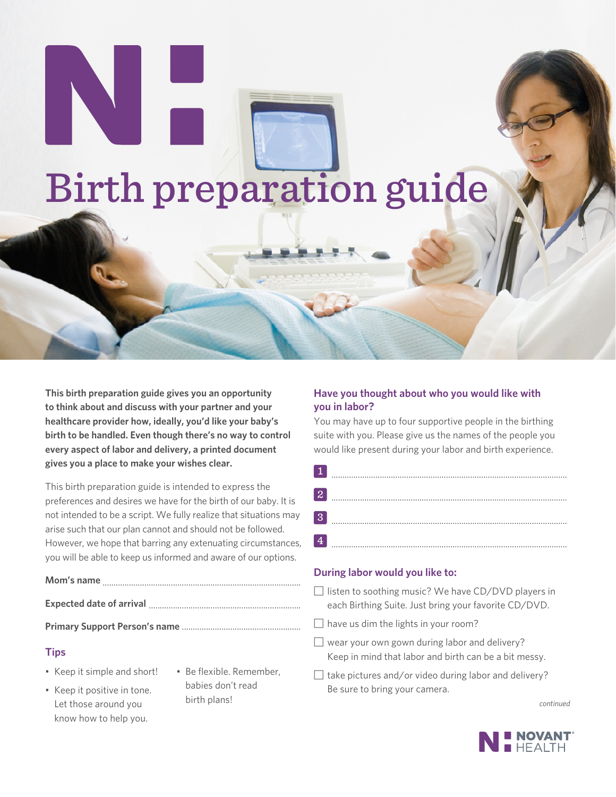# Birth preparation guide

**This birth preparation guide gives you an opportunity to think about and discuss with your partner and your healthcare provider how, ideally, you'd like your baby's birth to be handled. Even though there's no way to control every aspect of labor and delivery, a printed document gives you a place to make your wishes clear.**

This birth preparation guide is intended to express the preferences and desires we have for the birth of our baby. It is not intended to be a script. We fully realize that situations may arise such that our plan cannot and should not be followed. However, we hope that barring any extenuating circumstances, you will be able to keep us informed and aware of our options.

# **Mom's name** ..........................................................................................

**Expected date of arrival** .....................................................................

**Primary Support Person's name** ......................................................

# **Tips**

- Keep it simple and short!
- Keep it positive in tone. Let those around you know how to help you.
- Be flexible. Remember, babies don't read birth plans!

# **Have you thought about who you would like with you in labor?**

You may have up to four supportive people in the birthing suite with you. Please give us the names of the people you would like present during your labor and birth experience.

| $\overline{2}$   |  |
|------------------|--|
|                  |  |
| $\boldsymbol{3}$ |  |
|                  |  |
|                  |  |

#### **During labor would you like to:**

- $\Box$  listen to soothing music? We have CD/DVD players in each Birthing Suite. Just bring your favorite CD/DVD.
- $\Box$  have us dim the lights in your room?
- $\Box$  wear your own gown during labor and delivery? Keep in mind that labor and birth can be a bit messy.
- $\Box$  take pictures and/or video during labor and delivery? Be sure to bring your camera.

*continued*